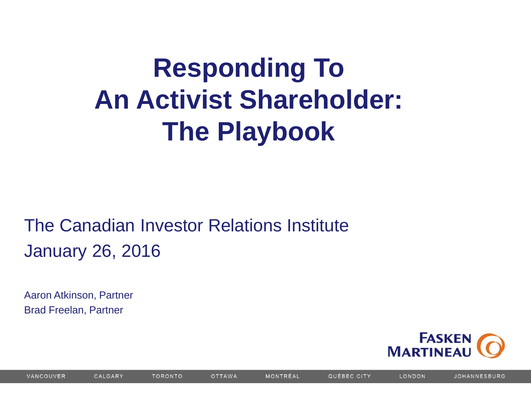# **Responding To An Activist Shareholder: The Playbook**

#### The Canadian Investor Relations Institute January 26, 2016

Aaron Atkinson, Partner Brad Freelan, Partner



LONDON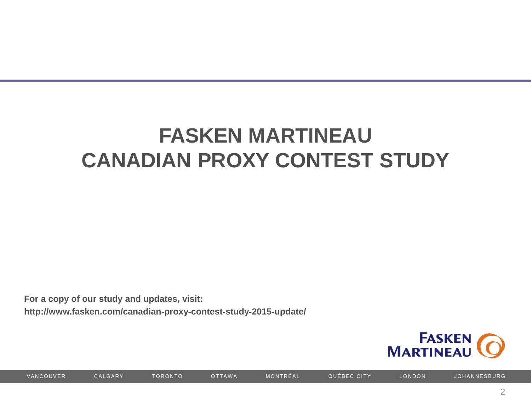## **FASKEN MARTINEAU CANADIAN PROXY CONTEST STUDY**

**For a copy of our study and updates, visit:**

**http://www.fasken.com/canadian-proxy-contest-study-2015-update/**

**TORONTO** 



MONTRÉAL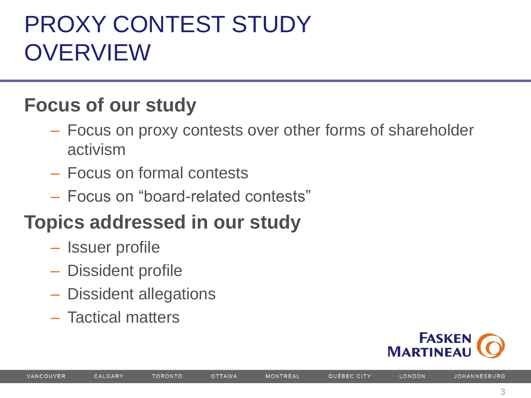# PROXY CONTEST STUDY OVERVIEW

#### **Focus of our study**

- Focus on proxy contests over other forms of shareholder activism
- Focus on formal contests
- Focus on "board-related contests"

#### **Topics addressed in our study**

- Issuer profile
- Dissident profile
- Dissident allegations
- Tactical matters



LONDON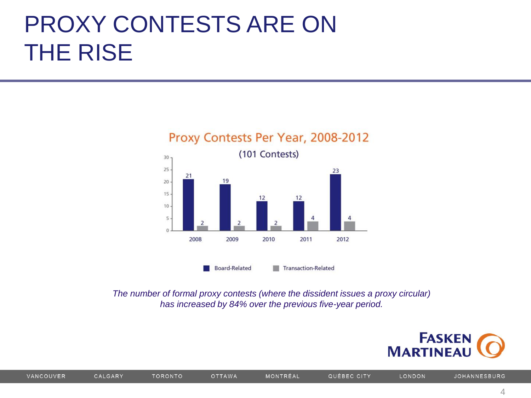# PROXY CONTESTS ARE ON THE RISE



*The number of formal proxy contests (where the dissident issues a proxy circular) has increased by 84% over the previous five-year period.*

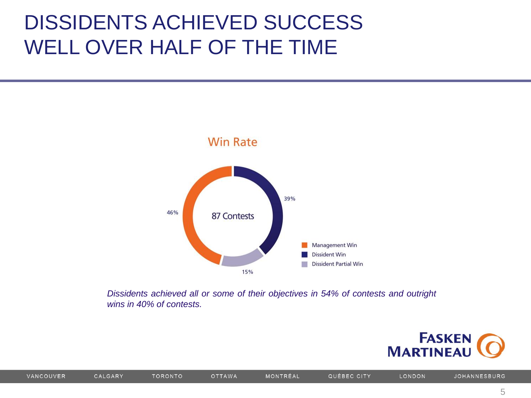#### DISSIDENTS ACHIEVED SUCCESS WELL OVER HALF OF THE TIME



*Dissidents achieved all or some of their objectives in 54% of contests and outright wins in 40% of contests.*



LONDON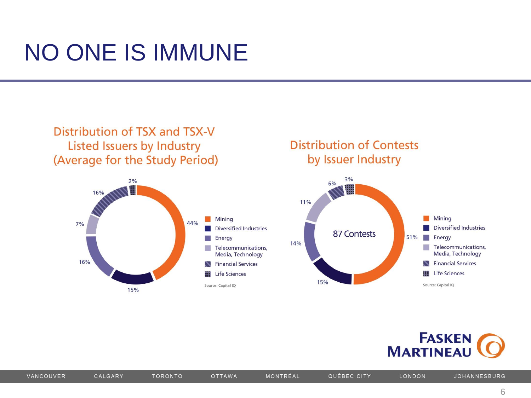## **NO ONE IS IMMUNE**





**TORONTO** 

#### **Distribution of Contests** by Issuer Industry





MONTRÉAL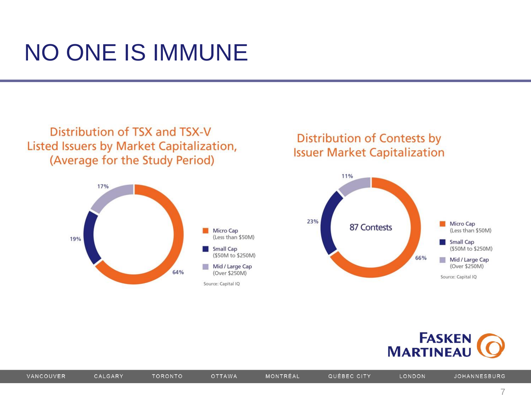## **NO ONE IS IMMUNE**





#### Distribution of Contests by **Issuer Market Capitalization**





MONTRÉAL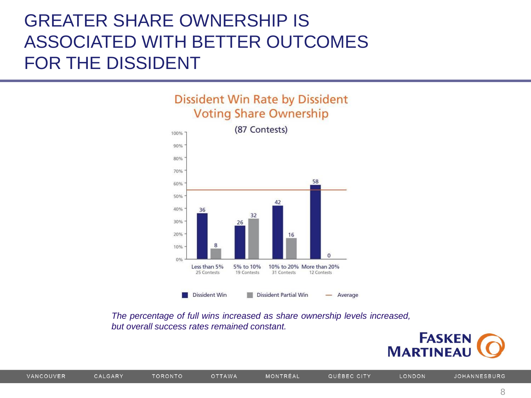#### GREATER SHARE OWNERSHIP IS ASSOCIATED WITH BETTER OUTCOMES FOR THE DISSIDENT





*The percentage of full wins increased as share ownership levels increased, but overall success rates remained constant.*

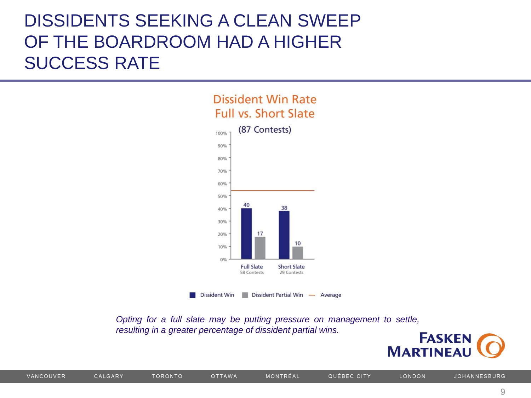#### DISSIDENTS SEEKING A CLEAN SWEEP OF THE BOARDROOM HAD A HIGHER SUCCESS RATE



*Opting for a full slate may be putting pressure on management to settle, resulting in a greater percentage of dissident partial wins.*

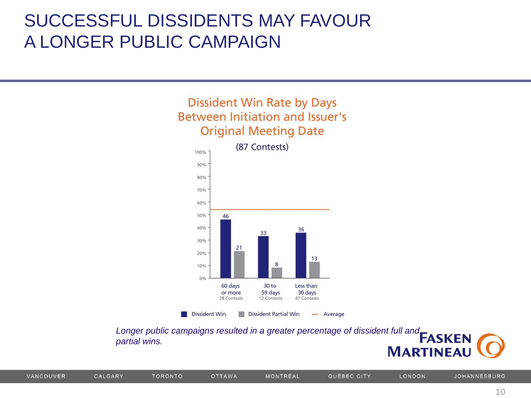#### SUCCESSFUL DISSIDENTS MAY FAVOUR A LONGER PUBLIC CAMPAIGN

#### **Dissident Win Rate by Days** Between Initiation and Issuer's **Original Meeting Date**



*Longer public campaigns resulted in a greater percentage of dissident full and partial wins.*

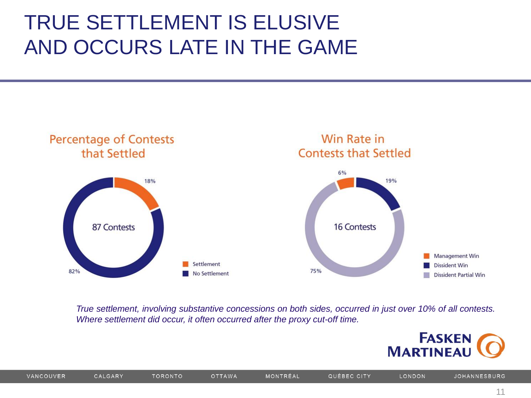### TRUE SETTLEMENT IS ELUSIVE AND OCCURS LATE IN THE GAME



*True settlement, involving substantive concessions on both sides, occurred in just over 10% of all contests. Where settlement did occur, it often occurred after the proxy cut-off time.*

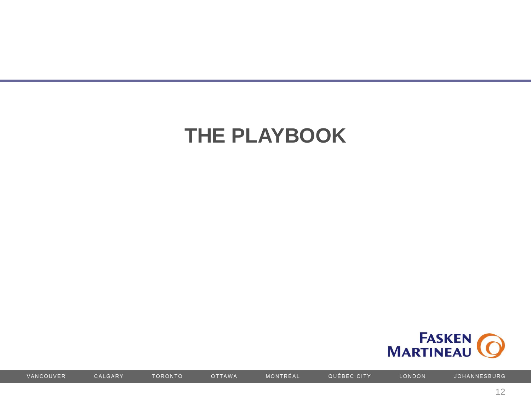## **THE PLAYBOOK**



VANCOUVER

CALGARY

**OTTAWA** 

TORONTO

MONTRÉAL

QUÉBEC CITY

LONDON

JOHANNESBURG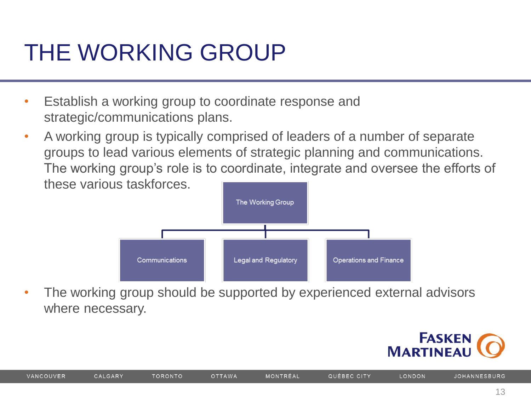## THE WORKING GROUP

- Establish a working group to coordinate response and strategic/communications plans.
- A working group is typically comprised of leaders of a number of separate groups to lead various elements of strategic planning and communications. The working group's role is to coordinate, integrate and oversee the efforts of these various taskforces.



The working group should be supported by experienced external advisors where necessary.

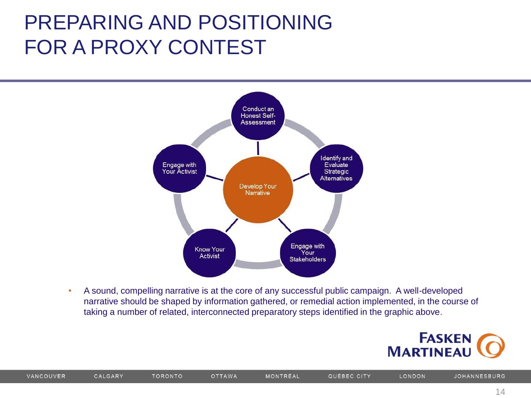### PREPARING AND POSITIONING FOR A PROXY CONTEST



• A sound, compelling narrative is at the core of any successful public campaign. A well-developed narrative should be shaped by information gathered, or remedial action implemented, in the course of taking a number of related, interconnected preparatory steps identified in the graphic above.



14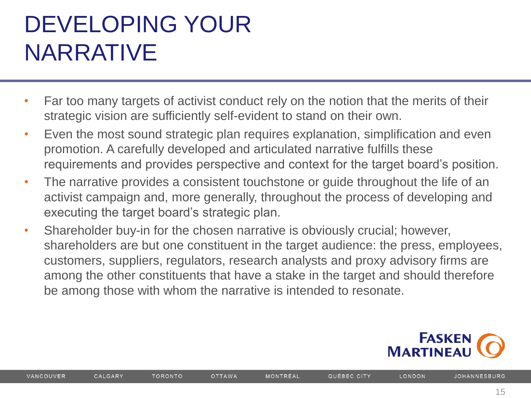# DEVELOPING YOUR NARRATIVE

- Far too many targets of activist conduct rely on the notion that the merits of their strategic vision are sufficiently self-evident to stand on their own.
- Even the most sound strategic plan requires explanation, simplification and even promotion. A carefully developed and articulated narrative fulfills these requirements and provides perspective and context for the target board's position.
- The narrative provides a consistent touchstone or quide throughout the life of an activist campaign and, more generally, throughout the process of developing and executing the target board's strategic plan.
- Shareholder buy-in for the chosen narrative is obviously crucial; however, shareholders are but one constituent in the target audience: the press, employees, customers, suppliers, regulators, research analysts and proxy advisory firms are among the other constituents that have a stake in the target and should therefore be among those with whom the narrative is intended to resonate.



**TORONTO**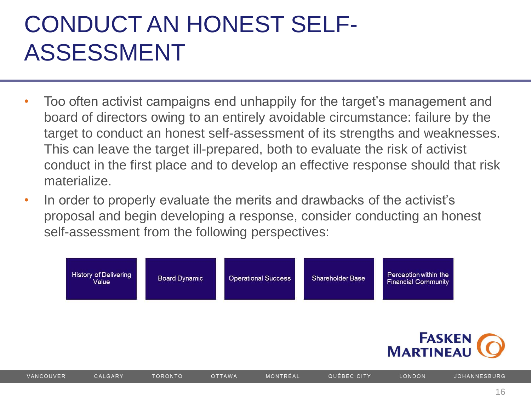# CONDUCT AN HONEST SELF-ASSESSMENT

- Too often activist campaigns end unhappily for the target's management and board of directors owing to an entirely avoidable circumstance: failure by the target to conduct an honest self-assessment of its strengths and weaknesses. This can leave the target ill-prepared, both to evaluate the risk of activist conduct in the first place and to develop an effective response should that risk materialize.
- In order to properly evaluate the merits and drawbacks of the activist's proposal and begin developing a response, consider conducting an honest self-assessment from the following perspectives:

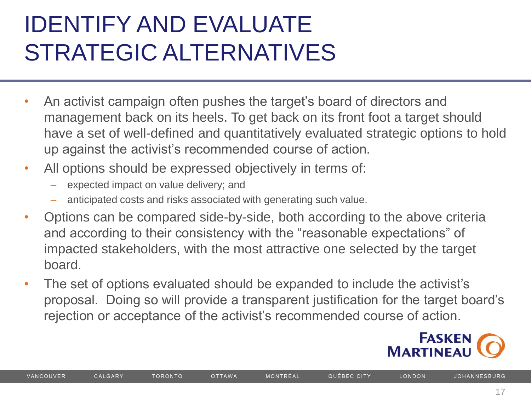# IDENTIFY AND EVALUATE STRATEGIC ALTERNATIVES

- An activist campaign often pushes the target's board of directors and management back on its heels. To get back on its front foot a target should have a set of well-defined and quantitatively evaluated strategic options to hold up against the activist's recommended course of action.
- All options should be expressed objectively in terms of:
	- expected impact on value delivery; and
	- anticipated costs and risks associated with generating such value.
- Options can be compared side-by-side, both according to the above criteria and according to their consistency with the "reasonable expectations" of impacted stakeholders, with the most attractive one selected by the target board.
- The set of options evaluated should be expanded to include the activist's proposal. Doing so will provide a transparent justification for the target board's rejection or acceptance of the activist's recommended course of action.



**TORONTO**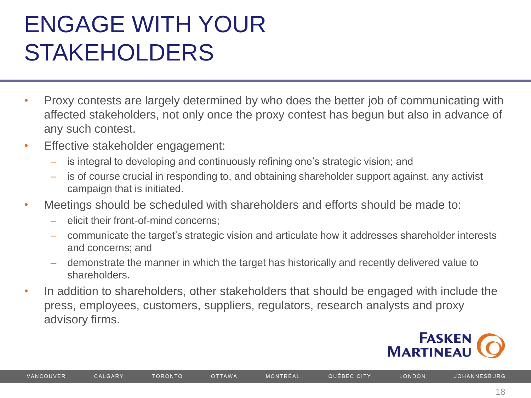# ENGAGE WITH YOUR STAKEHOLDERS

- Proxy contests are largely determined by who does the better job of communicating with affected stakeholders, not only once the proxy contest has begun but also in advance of any such contest.
- Effective stakeholder engagement:
	- is integral to developing and continuously refining one's strategic vision; and
	- is of course crucial in responding to, and obtaining shareholder support against, any activist campaign that is initiated.
- Meetings should be scheduled with shareholders and efforts should be made to:
	- elicit their front-of-mind concerns;
	- communicate the target's strategic vision and articulate how it addresses shareholder interests and concerns; and
	- demonstrate the manner in which the target has historically and recently delivered value to shareholders.
- In addition to shareholders, other stakeholders that should be engaged with include the press, employees, customers, suppliers, regulators, research analysts and proxy advisory firms.



**JOHANNESBURG**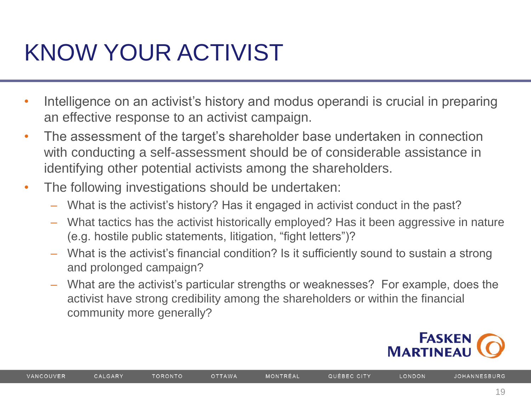# KNOW YOUR ACTIVIST

- Intelligence on an activist's history and modus operandi is crucial in preparing an effective response to an activist campaign.
- The assessment of the target's shareholder base undertaken in connection with conducting a self-assessment should be of considerable assistance in identifying other potential activists among the shareholders.
- The following investigations should be undertaken:
	- What is the activist's history? Has it engaged in activist conduct in the past?
	- What tactics has the activist historically employed? Has it been aggressive in nature (e.g. hostile public statements, litigation, "fight letters")?
	- What is the activist's financial condition? Is it sufficiently sound to sustain a strong and prolonged campaign?
	- What are the activist's particular strengths or weaknesses? For example, does the activist have strong credibility among the shareholders or within the financial community more generally?



**JOHANNESBURG**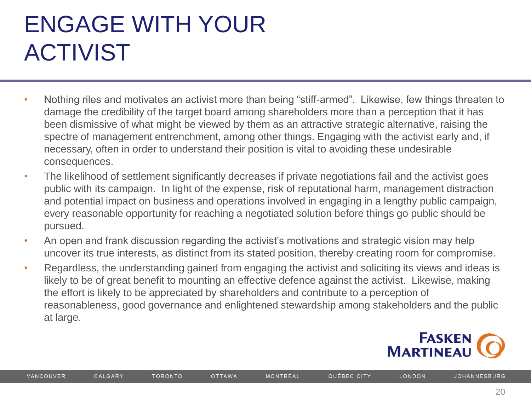# ENGAGE WITH YOUR ACTIVIST

- Nothing riles and motivates an activist more than being "stiff-armed". Likewise, few things threaten to damage the credibility of the target board among shareholders more than a perception that it has been dismissive of what might be viewed by them as an attractive strategic alternative, raising the spectre of management entrenchment, among other things. Engaging with the activist early and, if necessary, often in order to understand their position is vital to avoiding these undesirable consequences.
- The likelihood of settlement significantly decreases if private negotiations fail and the activist goes public with its campaign. In light of the expense, risk of reputational harm, management distraction and potential impact on business and operations involved in engaging in a lengthy public campaign, every reasonable opportunity for reaching a negotiated solution before things go public should be pursued.
- An open and frank discussion regarding the activist's motivations and strategic vision may help uncover its true interests, as distinct from its stated position, thereby creating room for compromise.
- Regardless, the understanding gained from engaging the activist and soliciting its views and ideas is likely to be of great benefit to mounting an effective defence against the activist. Likewise, making the effort is likely to be appreciated by shareholders and contribute to a perception of reasonableness, good governance and enlightened stewardship among stakeholders and the public at large.



LONDON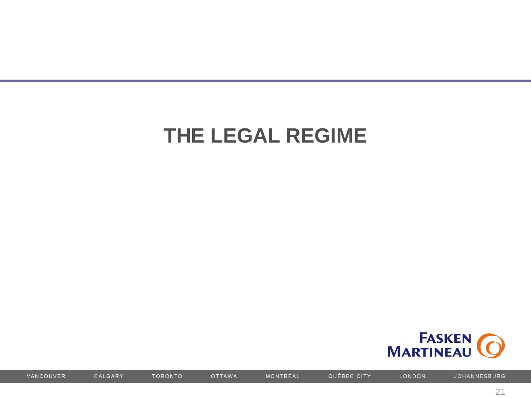### THE LEGAL REGIME



VANCOUVER

CALGARY

**OTTAWA** 

TORONTO

MONTRÉAL

QUÉBEC CITY

LONDON

JOHANNESBURG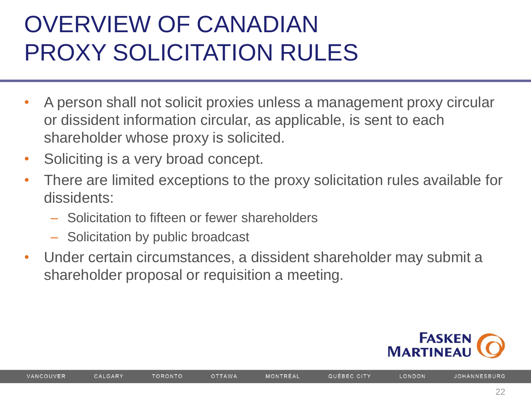# OVERVIEW OF CANADIAN PROXY SOLICITATION RULES

- A person shall not solicit proxies unless a management proxy circular or dissident information circular, as applicable, is sent to each shareholder whose proxy is solicited.
- Soliciting is a very broad concept.
- There are limited exceptions to the proxy solicitation rules available for dissidents:
	- Solicitation to fifteen or fewer shareholders
	- Solicitation by public broadcast

**TORONTO** 

• Under certain circumstances, a dissident shareholder may submit a shareholder proposal or requisition a meeting.

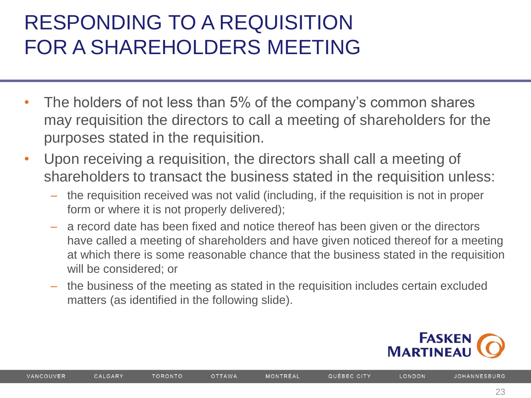## RESPONDING TO A REQUISITION FOR A SHAREHOLDERS MEETING

- The holders of not less than 5% of the company's common shares may requisition the directors to call a meeting of shareholders for the purposes stated in the requisition.
- Upon receiving a requisition, the directors shall call a meeting of shareholders to transact the business stated in the requisition unless:
	- the requisition received was not valid (including, if the requisition is not in proper form or where it is not properly delivered);
	- a record date has been fixed and notice thereof has been given or the directors have called a meeting of shareholders and have given noticed thereof for a meeting at which there is some reasonable chance that the business stated in the requisition will be considered; or
	- the business of the meeting as stated in the requisition includes certain excluded matters (as identified in the following slide).



LONDON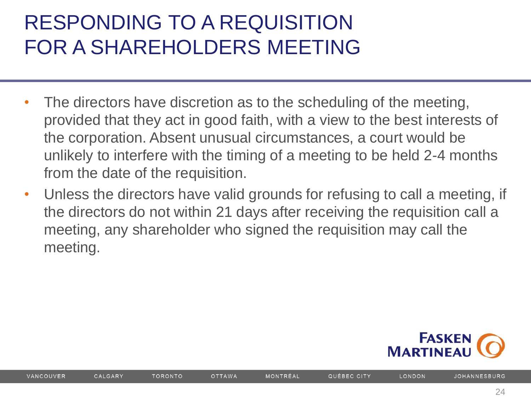## RESPONDING TO A REQUISITION FOR A SHAREHOLDERS MEETING

- The directors have discretion as to the scheduling of the meeting, provided that they act in good faith, with a view to the best interests of the corporation. Absent unusual circumstances, a court would be unlikely to interfere with the timing of a meeting to be held 2-4 months from the date of the requisition.
- Unless the directors have valid grounds for refusing to call a meeting, if the directors do not within 21 days after receiving the requisition call a meeting, any shareholder who signed the requisition may call the meeting.



**TORONTO**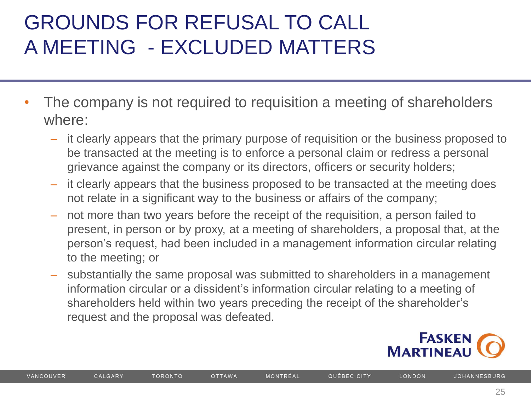### GROUNDS FOR REFUSAL TO CALL A MEETING - EXCLUDED MATTERS

- The company is not required to requisition a meeting of shareholders where:
	- it clearly appears that the primary purpose of requisition or the business proposed to be transacted at the meeting is to enforce a personal claim or redress a personal grievance against the company or its directors, officers or security holders;
	- it clearly appears that the business proposed to be transacted at the meeting does not relate in a significant way to the business or affairs of the company;
	- not more than two years before the receipt of the requisition, a person failed to present, in person or by proxy, at a meeting of shareholders, a proposal that, at the person's request, had been included in a management information circular relating to the meeting; or
	- substantially the same proposal was submitted to shareholders in a management information circular or a dissident's information circular relating to a meeting of shareholders held within two years preceding the receipt of the shareholder's request and the proposal was defeated.

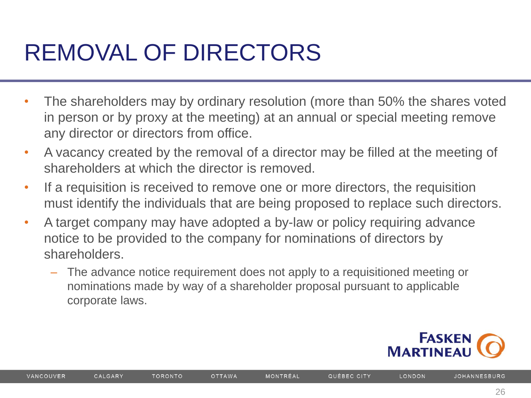# REMOVAL OF DIRECTORS

- The shareholders may by ordinary resolution (more than 50% the shares voted in person or by proxy at the meeting) at an annual or special meeting remove any director or directors from office.
- A vacancy created by the removal of a director may be filled at the meeting of shareholders at which the director is removed.
- If a requisition is received to remove one or more directors, the requisition must identify the individuals that are being proposed to replace such directors.
- A target company may have adopted a by-law or policy requiring advance notice to be provided to the company for nominations of directors by shareholders.
	- The advance notice requirement does not apply to a requisitioned meeting or nominations made by way of a shareholder proposal pursuant to applicable corporate laws.



**TORONTO**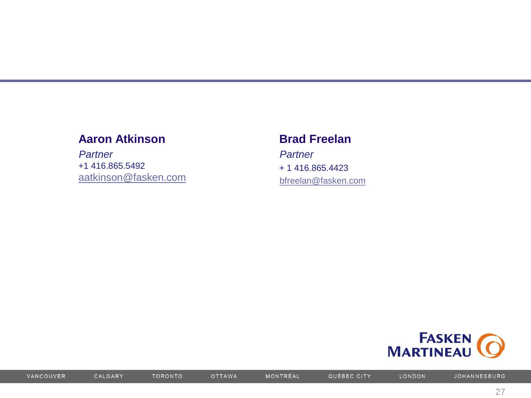#### **Aaron Atkinson**

*Partner* +1 416.865.5492 [aatkinson@fasken.com](mailto:worr@fasken.com)

#### **Brad Freelan**

*Partner* + 1 416.865.4423 [bfreelan@fasken.com](mailto:bfreelan@fasken.com)



VANCOUVER

**TORONTO** 

MONTRÉAL